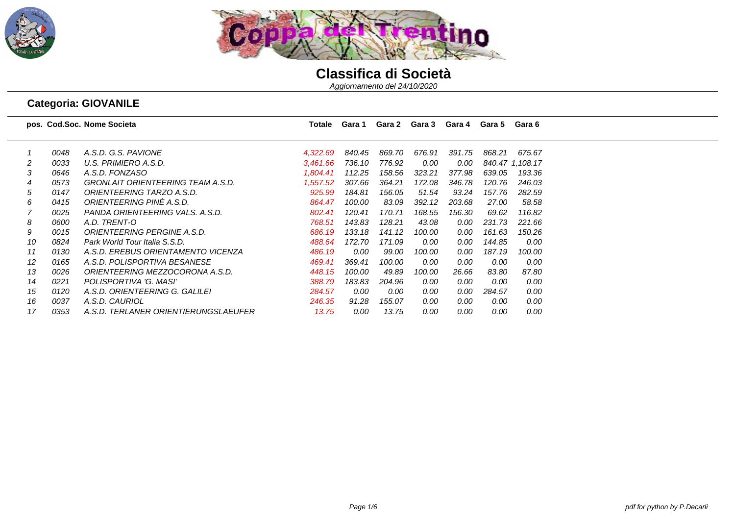



# **Categoria: GIOVANILE**

|                   |      | pos. Cod.Soc. Nome Societa               | Totale   | Gara 1 | Gara 2 | Gara 3 | Gara 4 | Gara 5 | Gara 6          |  |
|-------------------|------|------------------------------------------|----------|--------|--------|--------|--------|--------|-----------------|--|
|                   |      |                                          |          |        |        |        |        |        |                 |  |
|                   | 0048 | A.S.D. G.S. PAVIONE                      | 4,322.69 | 840.45 | 869.70 | 676.91 | 391.75 | 868.21 | 675.67          |  |
| 2                 | 0033 | U.S. PRIMIERO A.S.D.                     | 3.461.66 | 736.10 | 776.92 | 0.00   | 0.00   |        | 840.47 1,108.17 |  |
| 3                 | 0646 | A.S.D. FONZASO                           | 1.804.41 | 112.25 | 158.56 | 323.21 | 377.98 | 639.05 | 193.36          |  |
| 4                 | 0573 | <b>GRONLAIT ORIENTEERING TEAM A.S.D.</b> | 1.557.52 | 307.66 | 364.21 | 172.08 | 346.78 | 120.76 | 246.03          |  |
| 5                 | 0147 | ORIENTEERING TARZO A.S.D.                | 925.99   | 184.81 | 156.05 | 51.54  | 93.24  | 157.76 | 282.59          |  |
| 6                 | 0415 | ORIENTEERING PINÉ A.S.D.                 | 864.47   | 100.00 | 83.09  | 392.12 | 203.68 | 27.00  | 58.58           |  |
|                   | 0025 | PANDA ORIENTEERING VALS. A.S.D.          | 802.41   | 120.41 | 170.71 | 168.55 | 156.30 | 69.62  | 116.82          |  |
| 8                 | 0600 | A.D. TRENT-O                             | 768.51   | 143.83 | 128.21 | 43.08  | 0.00   | 231.73 | 221.66          |  |
| 9                 | 0015 | ORIENTEERING PERGINE A.S.D.              | 686.19   | 133.18 | 141.12 | 100.00 | 0.00   | 161.63 | 150.26          |  |
| 10                | 0824 | Park World Tour Italia S.S.D.            | 488.64   | 172.70 | 171.09 | 0.00   | 0.00   | 144.85 | 0.00            |  |
| 11                | 0130 | A.S.D. EREBUS ORIENTAMENTO VICENZA       | 486.19   | 0.00   | 99.00  | 100.00 | 0.00   | 187.19 | 100.00          |  |
| $12 \overline{ }$ | 0165 | A.S.D. POLISPORTIVA BESANESE             | 469.41   | 369.41 | 100.00 | 0.00   | 0.00   | 0.00   | 0.00            |  |
| 13                | 0026 | ORIENTEERING MEZZOCORONA A.S.D.          | 448.15   | 100.00 | 49.89  | 100.00 | 26.66  | 83.80  | 87.80           |  |
| 14                | 0221 | POLISPORTIVA 'G. MASI'                   | 388.79   | 183.83 | 204.96 | 0.00   | 0.00   | 0.00   | 0.00            |  |
| 15                | 0120 | A.S.D. ORIENTEERING G. GALILEI           | 284.57   | 0.00   | 0.00   | 0.00   | 0.00   | 284.57 | 0.00            |  |
| 16                | 0037 | A.S.D. CAURIOL                           | 246.35   | 91.28  | 155.07 | 0.00   | 0.00   | 0.00   | 0.00            |  |
| 17                | 0353 | A.S.D. TERLANER ORIENTIERUNGSLAEUFER     | 13.75    | 0.00   | 13.75  | 0.00   | 0.00   | 0.00   | 0.00            |  |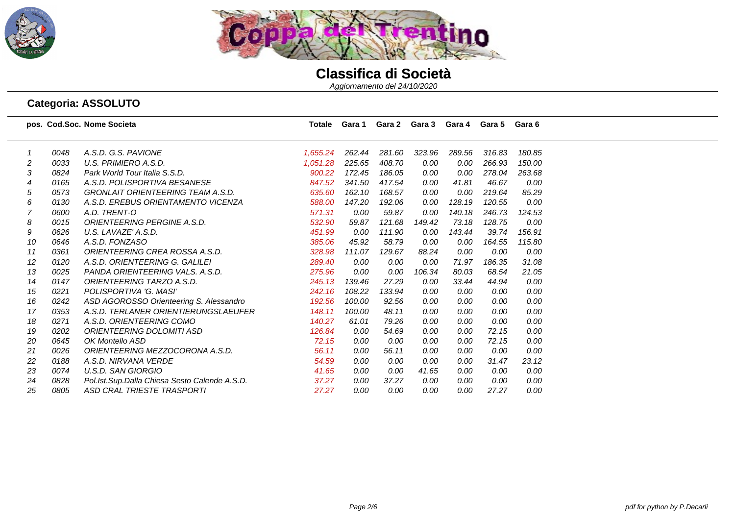



# **Categoria: ASSOLUTO**

|    |      | pos. Cod.Soc. Nome Societa                       | Totale   | Gara 1 | Gara 2 | Gara 3 Gara 4 |        | Gara 5 | Gara 6 |  |
|----|------|--------------------------------------------------|----------|--------|--------|---------------|--------|--------|--------|--|
| -1 | 0048 | A.S.D. G.S. PAVIONE                              | 1,655.24 | 262.44 | 281.60 | 323.96        | 289.56 | 316.83 | 180.85 |  |
| 2  | 0033 | U.S. PRIMIERO A.S.D.                             | 1.051.28 | 225.65 | 408.70 | 0.00          | 0.00   | 266.93 | 150.00 |  |
| 3  | 0824 | Park World Tour Italia S.S.D.                    | 900.22   | 172.45 | 186.05 | 0.00          | 0.00   | 278.04 | 263.68 |  |
| 4  | 0165 | A.S.D. POLISPORTIVA BESANESE                     | 847.52   | 341.50 | 417.54 | 0.00          | 41.81  | 46.67  | 0.00   |  |
| 5  | 0573 | GRONLAIT ORIENTEERING TEAM A.S.D.                | 635.60   | 162.10 | 168.57 | 0.00          | 0.00   | 219.64 | 85.29  |  |
| 6  | 0130 | A.S.D. EREBUS ORIENTAMENTO VICENZA               | 588.00   | 147.20 | 192.06 | 0.00          | 128.19 | 120.55 | 0.00   |  |
| 7  | 0600 | A.D. TRENT-O                                     | 571.31   | 0.00   | 59.87  | 0.00          | 140.18 | 246.73 | 124.53 |  |
| 8  | 0015 | ORIENTEERING PERGINE A.S.D.                      | 532.90   | 59.87  | 121.68 | 149.42        | 73.18  | 128.75 | 0.00   |  |
| 9  | 0626 | U.S. LAVAZE' A.S.D.                              | 451.99   | 0.00   | 111.90 | 0.00          | 143.44 | 39.74  | 156.91 |  |
| 10 | 0646 | A.S.D. FONZASO                                   | 385.06   | 45.92  | 58.79  | 0.00          | 0.00   | 164.55 | 115.80 |  |
| 11 | 0361 | ORIENTEERING CREA ROSSA A.S.D.                   | 328.98   | 111.07 | 129.67 | 88.24         | 0.00   | 0.00   | 0.00   |  |
| 12 | 0120 | A.S.D. ORIENTEERING G. GALILEI                   | 289.40   | 0.00   | 0.00   | 0.00          | 71.97  | 186.35 | 31.08  |  |
| 13 | 0025 | PANDA ORIENTEERING VALS, A.S.D.                  | 275.96   | 0.00   | 0.00   | 106.34        | 80.03  | 68.54  | 21.05  |  |
| 14 | 0147 | ORIENTEERING TARZO A.S.D.                        | 245.13   | 139.46 | 27.29  | 0.00          | 33.44  | 44.94  | 0.00   |  |
| 15 | 0221 | POLISPORTIVA 'G. MASI'                           | 242.16   | 108.22 | 133.94 | 0.00          | 0.00   | 0.00   | 0.00   |  |
| 16 | 0242 | ASD AGOROSSO Orienteering S. Alessandro          | 192.56   | 100.00 | 92.56  | 0.00          | 0.00   | 0.00   | 0.00   |  |
| 17 | 0353 | A.S.D. TERLANER ORIENTIERUNGSLAEUFER             | 148.11   | 100.00 | 48.11  | 0.00          | 0.00   | 0.00   | 0.00   |  |
| 18 | 0271 | A.S.D. ORIENTEERING COMO                         | 140.27   | 61.01  | 79.26  | 0.00          | 0.00   | 0.00   | 0.00   |  |
| 19 | 0202 | ORIENTEERING DOLOMITI ASD                        | 126.84   | 0.00   | 54.69  | 0.00          | 0.00   | 72.15  | 0.00   |  |
| 20 | 0645 | OK Montello ASD                                  | 72.15    | 0.00   | 0.00   | 0.00          | 0.00   | 72.15  | 0.00   |  |
| 21 | 0026 | ORIENTEERING MEZZOCORONA A.S.D.                  | 56.11    | 0.00   | 56.11  | 0.00          | 0.00   | 0.00   | 0.00   |  |
| 22 | 0188 | A.S.D. NIRVANA VERDE                             | 54.59    | 0.00   | 0.00   | 0.00          | 0.00   | 31.47  | 23.12  |  |
| 23 | 0074 | U.S.D. SAN GIORGIO                               | 41.65    | 0.00   | 0.00   | 41.65         | 0.00   | 0.00   | 0.00   |  |
| 24 | 0828 | Pol. Ist. Sup. Dalla Chiesa Sesto Calende A.S.D. | 37.27    | 0.00   | 37.27  | 0.00          | 0.00   | 0.00   | 0.00   |  |
| 25 | 0805 | ASD CRAL TRIESTE TRASPORTI                       | 27.27    | 0.00   | 0.00   | 0.00          | 0.00   | 27.27  | 0.00   |  |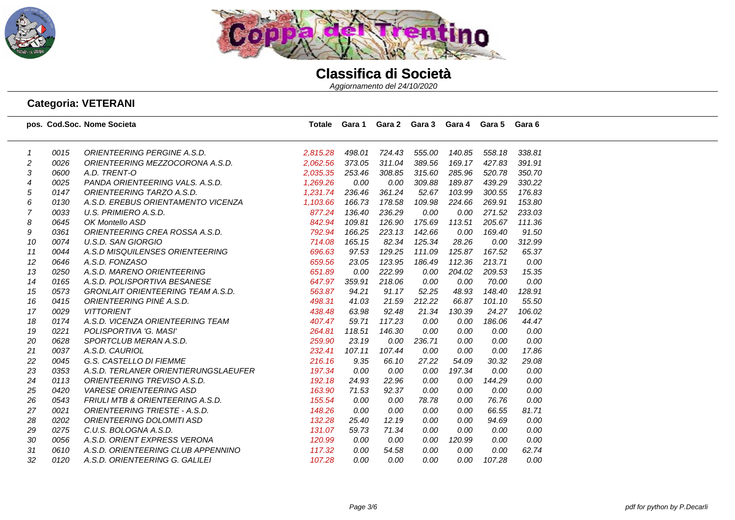



# **Categoria: VETERANI**

|    |      | pos. Cod.Soc. Nome Societa               | <b>Totale</b> | Gara 1 |        | Gara 2 Gara 3 Gara 4 |        | Gara 5 | Gara 6 |  |  |
|----|------|------------------------------------------|---------------|--------|--------|----------------------|--------|--------|--------|--|--|
| 1  | 0015 | ORIENTEERING PERGINE A.S.D.              | 2,815.28      | 498.01 | 724.43 | 555.00               | 140.85 | 558.18 | 338.81 |  |  |
| 2  | 0026 | ORIENTEERING MEZZOCORONA A.S.D.          | 2,062.56      | 373.05 | 311.04 | 389.56               | 169.17 | 427.83 | 391.91 |  |  |
| 3  | 0600 | A.D. TRENT-O                             | 2,035.35      | 253.46 | 308.85 | 315.60               | 285.96 | 520.78 | 350.70 |  |  |
| 4  | 0025 | PANDA ORIENTEERING VALS, A.S.D.          | 1,269.26      | 0.00   | 0.00   | 309.88               | 189.87 | 439.29 | 330.22 |  |  |
| 5  | 0147 | ORIENTEERING TARZO A.S.D.                | 1,231.74      | 236.46 | 361.24 | 52.67                | 103.99 | 300.55 | 176.83 |  |  |
| 6  | 0130 | A.S.D. EREBUS ORIENTAMENTO VICENZA       | 1,103.66      | 166.73 | 178.58 | 109.98               | 224.66 | 269.91 | 153.80 |  |  |
|    | 0033 | U.S. PRIMIERO A.S.D.                     | 877.24        | 136.40 | 236.29 | 0.00                 | 0.00   | 271.52 | 233.03 |  |  |
| 8  | 0645 | OK Montello ASD                          | 842.94        | 109.81 | 126.90 | 175.69               | 113.51 | 205.67 | 111.36 |  |  |
| 9  | 0361 | ORIENTEERING CREA ROSSA A.S.D.           | 792.94        | 166.25 | 223.13 | 142.66               | 0.00   | 169.40 | 91.50  |  |  |
| 10 | 0074 | U.S.D. SAN GIORGIO                       | 714.08        | 165.15 | 82.34  | 125.34               | 28.26  | 0.00   | 312.99 |  |  |
| 11 | 0044 | A.S.D MISQUILENSES ORIENTEERING          | 696.63        | 97.53  | 129.25 | 111.09               | 125.87 | 167.52 | 65.37  |  |  |
| 12 | 0646 | A.S.D. FONZASO                           | 659.56        | 23.05  | 123.95 | 186.49               | 112.36 | 213.71 | 0.00   |  |  |
| 13 | 0250 | A.S.D. MARENO ORIENTEERING               | 651.89        | 0.00   | 222.99 | 0.00                 | 204.02 | 209.53 | 15.35  |  |  |
| 14 | 0165 | A.S.D. POLISPORTIVA BESANESE             | 647.97        | 359.91 | 218.06 | 0.00                 | 0.00   | 70.00  | 0.00   |  |  |
| 15 | 0573 | <b>GRONLAIT ORIENTEERING TEAM A.S.D.</b> | 563.87        | 94.21  | 91.17  | 52.25                | 48.93  | 148.40 | 128.91 |  |  |
| 16 | 0415 | ORIENTEERING PINÉ A.S.D.                 | 498.31        | 41.03  | 21.59  | 212.22               | 66.87  | 101.10 | 55.50  |  |  |
| 17 | 0029 | <b>VITTORIENT</b>                        | 438.48        | 63.98  | 92.48  | 21.34                | 130.39 | 24.27  | 106.02 |  |  |
| 18 | 0174 | A.S.D. VICENZA ORIENTEERING TEAM         | 407.47        | 59.71  | 117.23 | 0.00                 | 0.00   | 186.06 | 44.47  |  |  |
| 19 | 0221 | POLISPORTIVA 'G. MASI'                   | 264.81        | 118.51 | 146.30 | 0.00                 | 0.00   | 0.00   | 0.00   |  |  |
| 20 | 0628 | SPORTCLUB MERAN A.S.D.                   | 259.90        | 23.19  | 0.00   | 236.71               | 0.00   | 0.00   | 0.00   |  |  |
| 21 | 0037 | A.S.D. CAURIOL                           | 232.41        | 107.11 | 107.44 | 0.00                 | 0.00   | 0.00   | 17.86  |  |  |
| 22 | 0045 | G.S. CASTELLO DI FIEMME                  | 216.16        | 9.35   | 66.10  | 27.22                | 54.09  | 30.32  | 29.08  |  |  |
| 23 | 0353 | A.S.D. TERLANER ORIENTIERUNGSLAEUFER     | 197.34        | 0.00   | 0.00   | 0.00                 | 197.34 | 0.00   | 0.00   |  |  |
| 24 | 0113 | ORIENTEERING TREVISO A.S.D.              | 192.18        | 24.93  | 22.96  | 0.00                 | 0.00   | 144.29 | 0.00   |  |  |
| 25 | 0420 | <b>VARESE ORIENTEERING ASD</b>           | 163.90        | 71.53  | 92.37  | 0.00                 | 0.00   | 0.00   | 0.00   |  |  |
| 26 | 0543 | FRIULI MTB & ORIENTEERING A.S.D.         | 155.54        | 0.00   | 0.00   | 78.78                | 0.00   | 76.76  | 0.00   |  |  |
| 27 | 0021 | ORIENTEERING TRIESTE - A.S.D.            | 148.26        | 0.00   | 0.00   | 0.00                 | 0.00   | 66.55  | 81.71  |  |  |
| 28 | 0202 | ORIENTEERING DOLOMITI ASD                | 132.28        | 25.40  | 12.19  | 0.00                 | 0.00   | 94.69  | 0.00   |  |  |
| 29 | 0275 | C.U.S. BOLOGNA A.S.D.                    | 131.07        | 59.73  | 71.34  | 0.00                 | 0.00   | 0.00   | 0.00   |  |  |
| 30 | 0056 | A.S.D. ORIENT EXPRESS VERONA             | 120.99        | 0.00   | 0.00   | 0.00                 | 120.99 | 0.00   | 0.00   |  |  |
| 31 | 0610 | A.S.D. ORIENTEERING CLUB APPENNINO       | 117.32        | 0.00   | 54.58  | 0.00                 | 0.00   | 0.00   | 62.74  |  |  |
| 32 | 0120 | A.S.D. ORIENTEERING G. GALILEI           | 107.28        | 0.00   | 0.00   | 0.00                 | 0.00   | 107.28 | 0.00   |  |  |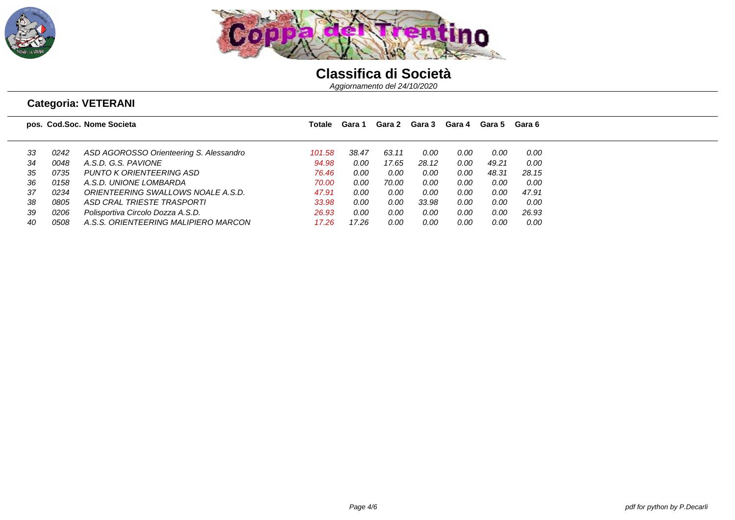



# **Categoria: VETERANI**

|     |      | pos. Cod.Soc. Nome Societa              | Totale | Gara 1 | Gara 2 | Gara 3 | Gara 4 | Gara 5 | Gara 6 |  |
|-----|------|-----------------------------------------|--------|--------|--------|--------|--------|--------|--------|--|
| 33  | 0242 | ASD AGOROSSO Orienteering S. Alessandro | 101.58 | 38.47  | 63.11  | 0.00   | 0.00   | 0.00   | 0.00   |  |
| -34 | 0048 | A.S.D. G.S. PAVIONE                     | 94.98  | 0.00   | 17.65  | 28.12  | 0.00   | 49.21  | 0.00   |  |
| 35  | 0735 | PUNTO K ORIENTEERING ASD                | 76.46  | 0.00   | 0.00   | 0.00   | 0.00   | 48.31  | 28.15  |  |
| 36  | 0158 | A.S.D. UNIONE LOMBARDA                  | 70.00  | 0.00   | 70.00  | 0.00   | 0.00   | 0.00   | 0.00   |  |
| -37 | 0234 | ORIENTEERING SWALLOWS NOALE A.S.D.      | 47.91  | 0.00   | 0.00   | 0.00   | 0.00   | 0.00   | 47.91  |  |
| -38 | 0805 | ASD CRAL TRIESTE TRASPORTI              | 33.98  | 0.00   | 0.00   | 33.98  | 0.00   | 0.00   | 0.00   |  |
| -39 | 0206 | Polisportiva Circolo Dozza A.S.D.       | 26.93  | 0.00   | 0.00   | 0.00   | 0.00   | 0.00   | 26.93  |  |
| 40  | 0508 | A.S.S. ORIENTEERING MALIPIERO MARCON    | 17.26  | 17.26  | 0.00   | 0.00   | 0.00   | 0.00   | 0.00   |  |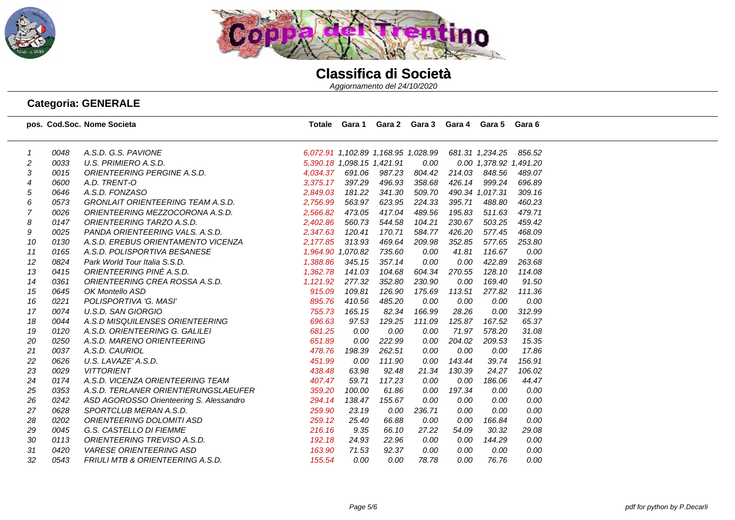



# **Categoria: GENERALE**

|    |      | pos. Cod.Soc. Nome Societa               | Totale   | Gara 1                     |               | Gara 2 Gara 3 Gara 4 Gara 5         |        |                        | Gara 6 |  |
|----|------|------------------------------------------|----------|----------------------------|---------------|-------------------------------------|--------|------------------------|--------|--|
| 1  | 0048 | A.S.D. G.S. PAVIONE                      |          |                            |               | 6,072.91 1,102.89 1,168.95 1,028.99 |        | 681.31 1,234.25        | 856.52 |  |
| 2  | 0033 | U.S. PRIMIERO A.S.D.                     |          | 5,390.18 1,098.15 1,421.91 |               | 0.00                                |        | 0.00 1,378.92 1,491.20 |        |  |
| 3  | 0015 | ORIENTEERING PERGINE A.S.D.              | 4,034.37 |                            | 691.06 987.23 | 804.42                              | 214.03 | 848.56                 | 489.07 |  |
| 4  | 0600 | A.D. TRENT-O                             | 3,375.17 | 397.29                     | 496.93        | 358.68                              | 426.14 | 999.24                 | 696.89 |  |
| 5  | 0646 | A.S.D. FONZASO                           | 2,849.03 | 181.22                     | 341.30        | 509.70                              |        | 490.34 1,017.31        | 309.16 |  |
| 6  | 0573 | <b>GRONLAIT ORIENTEERING TEAM A.S.D.</b> | 2,756.99 | 563.97                     | 623.95        | 224.33                              | 395.71 | 488.80                 | 460.23 |  |
| 7  | 0026 | ORIENTEERING MEZZOCORONA A.S.D.          | 2,566.82 | 473.05                     | 417.04        | 489.56                              | 195.83 | 511.63                 | 479.71 |  |
| 8  | 0147 | ORIENTEERING TARZO A.S.D.                | 2,402.86 | 560.73                     | 544.58        | 104.21                              | 230.67 | 503.25                 | 459.42 |  |
| 9  | 0025 | PANDA ORIENTEERING VALS. A.S.D.          | 2,347.63 | 120.41                     | 170.71        | 584.77                              | 426.20 | 577.45                 | 468.09 |  |
| 10 | 0130 | A.S.D. EREBUS ORIENTAMENTO VICENZA       | 2,177.85 | 313.93                     | 469.64        | 209.98                              | 352.85 | 577.65                 | 253.80 |  |
| 11 | 0165 | A.S.D. POLISPORTIVA BESANESE             |          | 1,964.90 1,070.82          | 735.60        | 0.00                                | 41.81  | 116.67                 | 0.00   |  |
| 12 | 0824 | Park World Tour Italia S.S.D.            | 1,388.86 | 345.15                     | 357.14        | 0.00                                | 0.00   | 422.89                 | 263.68 |  |
| 13 | 0415 | ORIENTEERING PINÉ A.S.D.                 | 1,362.78 | 141.03                     | 104.68        | 604.34                              | 270.55 | 128.10                 | 114.08 |  |
| 14 | 0361 | ORIENTEERING CREA ROSSA A.S.D.           | 1,121.92 | 277.32                     | 352.80        | 230.90                              | 0.00   | 169.40                 | 91.50  |  |
| 15 | 0645 | OK Montello ASD                          | 915.09   | 109.81                     | 126.90        | 175.69                              | 113.51 | 277.82                 | 111.36 |  |
| 16 | 0221 | POLISPORTIVA 'G. MASI'                   | 895.76   | 410.56                     | 485.20        | 0.00                                | 0.00   | 0.00                   | 0.00   |  |
| 17 | 0074 | U.S.D. SAN GIORGIO                       | 755.73   | 165.15                     | 82.34         | 166.99                              | 28.26  | 0.00                   | 312.99 |  |
| 18 | 0044 | A.S.D MISQUILENSES ORIENTEERING          | 696.63   | 97.53                      | 129.25        | 111.09                              | 125.87 | 167.52                 | 65.37  |  |
| 19 | 0120 | A.S.D. ORIENTEERING G. GALILEI           | 681.25   | 0.00                       | 0.00          | 0.00                                | 71.97  | 578.20                 | 31.08  |  |
| 20 | 0250 | A.S.D. MARENO ORIENTEERING               | 651.89   | 0.00                       | 222.99        | 0.00                                | 204.02 | 209.53                 | 15.35  |  |
| 21 | 0037 | A.S.D. CAURIOL                           | 478.76   | 198.39                     | 262.51        | 0.00                                | 0.00   | 0.00                   | 17.86  |  |
| 22 | 0626 | U.S. LAVAZE' A.S.D.                      | 451.99   | 0.00                       | 111.90        | 0.00                                | 143.44 | 39.74                  | 156.91 |  |
| 23 | 0029 | <b>VITTORIENT</b>                        | 438.48   | 63.98                      | 92.48         | 21.34                               | 130.39 | 24.27                  | 106.02 |  |
| 24 | 0174 | A.S.D. VICENZA ORIENTEERING TEAM         | 407.47   | 59.71                      | 117.23        | 0.00                                | 0.00   | 186.06                 | 44.47  |  |
| 25 | 0353 | A.S.D. TERLANER ORIENTIERUNGSLAEUFER     | 359.20   | 100.00                     | 61.86         | 0.00                                | 197.34 | 0.00                   | 0.00   |  |
| 26 | 0242 | ASD AGOROSSO Orienteering S. Alessandro  | 294.14   | 138.47                     | 155.67        | 0.00                                | 0.00   | 0.00                   | 0.00   |  |
| 27 | 0628 | SPORTCLUB MERAN A.S.D.                   | 259.90   | 23.19                      | 0.00          | 236.71                              | 0.00   | 0.00                   | 0.00   |  |
| 28 | 0202 | ORIENTEERING DOLOMITI ASD                | 259.12   | 25.40                      | 66.88         | 0.00                                | 0.00   | 166.84                 | 0.00   |  |
| 29 | 0045 | G.S. CASTELLO DI FIEMME                  | 216.16   | 9.35                       | 66.10         | 27.22                               | 54.09  | 30.32                  | 29.08  |  |
| 30 | 0113 | ORIENTEERING TREVISO A.S.D.              | 192.18   | 24.93                      | 22.96         | 0.00                                | 0.00   | 144.29                 | 0.00   |  |
| 31 | 0420 | <b>VARESE ORIENTEERING ASD</b>           | 163.90   | 71.53                      | 92.37         | 0.00                                | 0.00   | 0.00                   | 0.00   |  |
| 32 | 0543 | FRIULI MTB & ORIENTEERING A.S.D.         | 155.54   | 0.00                       | 0.00          | 78.78                               | 0.00   | 76.76                  | 0.00   |  |